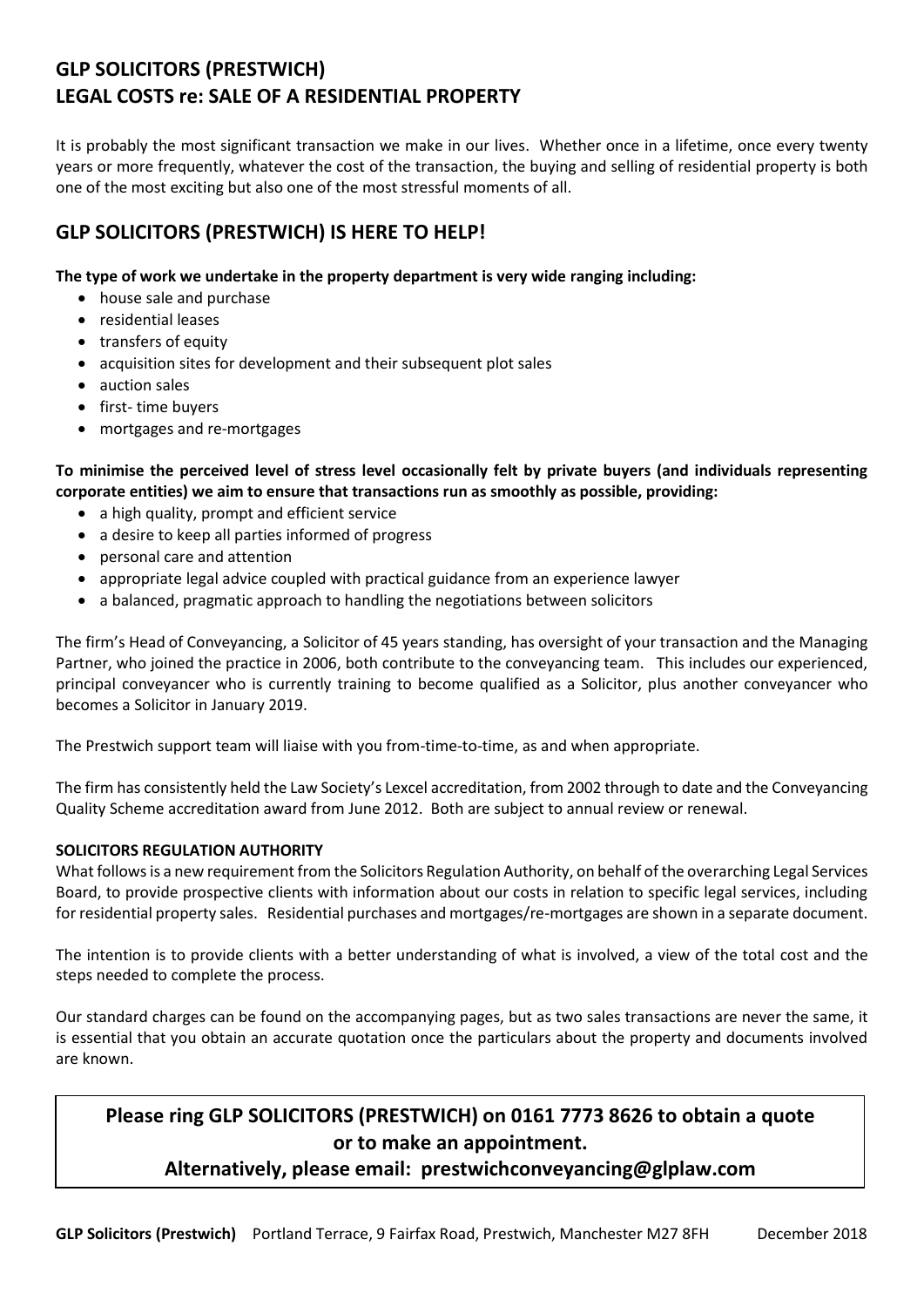# **GLP SOLICITORS (PRESTWICH) LEGAL COSTS re: SALE OF A RESIDENTIAL PROPERTY**

It is probably the most significant transaction we make in our lives. Whether once in a lifetime, once every twenty years or more frequently, whatever the cost of the transaction, the buying and selling of residential property is both one of the most exciting but also one of the most stressful moments of all.

# **GLP SOLICITORS (PRESTWICH) IS HERE TO HELP!**

### **The type of work we undertake in the property department is very wide ranging including:**

- house sale and purchase
- residential leases
- transfers of equity
- acquisition sites for development and their subsequent plot sales
- auction sales
- first- time buyers
- mortgages and re-mortgages

**To minimise the perceived level of stress level occasionally felt by private buyers (and individuals representing corporate entities) we aim to ensure that transactions run as smoothly as possible, providing:**

- a high quality, prompt and efficient service
- a desire to keep all parties informed of progress
- personal care and attention
- appropriate legal advice coupled with practical guidance from an experience lawyer
- a balanced, pragmatic approach to handling the negotiations between solicitors

The firm's Head of Conveyancing, a Solicitor of 45 years standing, has oversight of your transaction and the Managing Partner, who joined the practice in 2006, both contribute to the conveyancing team. This includes our experienced, principal conveyancer who is currently training to become qualified as a Solicitor, plus another conveyancer who becomes a Solicitor in January 2019.

The Prestwich support team will liaise with you from-time-to-time, as and when appropriate.

The firm has consistently held the Law Society's Lexcel accreditation, from 2002 through to date and the Conveyancing Quality Scheme accreditation award from June 2012. Both are subject to annual review or renewal.

### **SOLICITORS REGULATION AUTHORITY**

What follows is a new requirement from the Solicitors Regulation Authority, on behalf of the overarching Legal Services Board, to provide prospective clients with information about our costs in relation to specific legal services, including for residential property sales. Residential purchases and mortgages/re-mortgages are shown in a separate document.

The intention is to provide clients with a better understanding of what is involved, a view of the total cost and the steps needed to complete the process.

Our standard charges can be found on the accompanying pages, but as two sales transactions are never the same, it is essential that you obtain an accurate quotation once the particulars about the property and documents involved are known.

# **Please ring GLP SOLICITORS (PRESTWICH) on 0161 7773 8626 to obtain a quote or to make an appointment.**

## **Alternatively, please email: prestwichconveyancing@glplaw.com**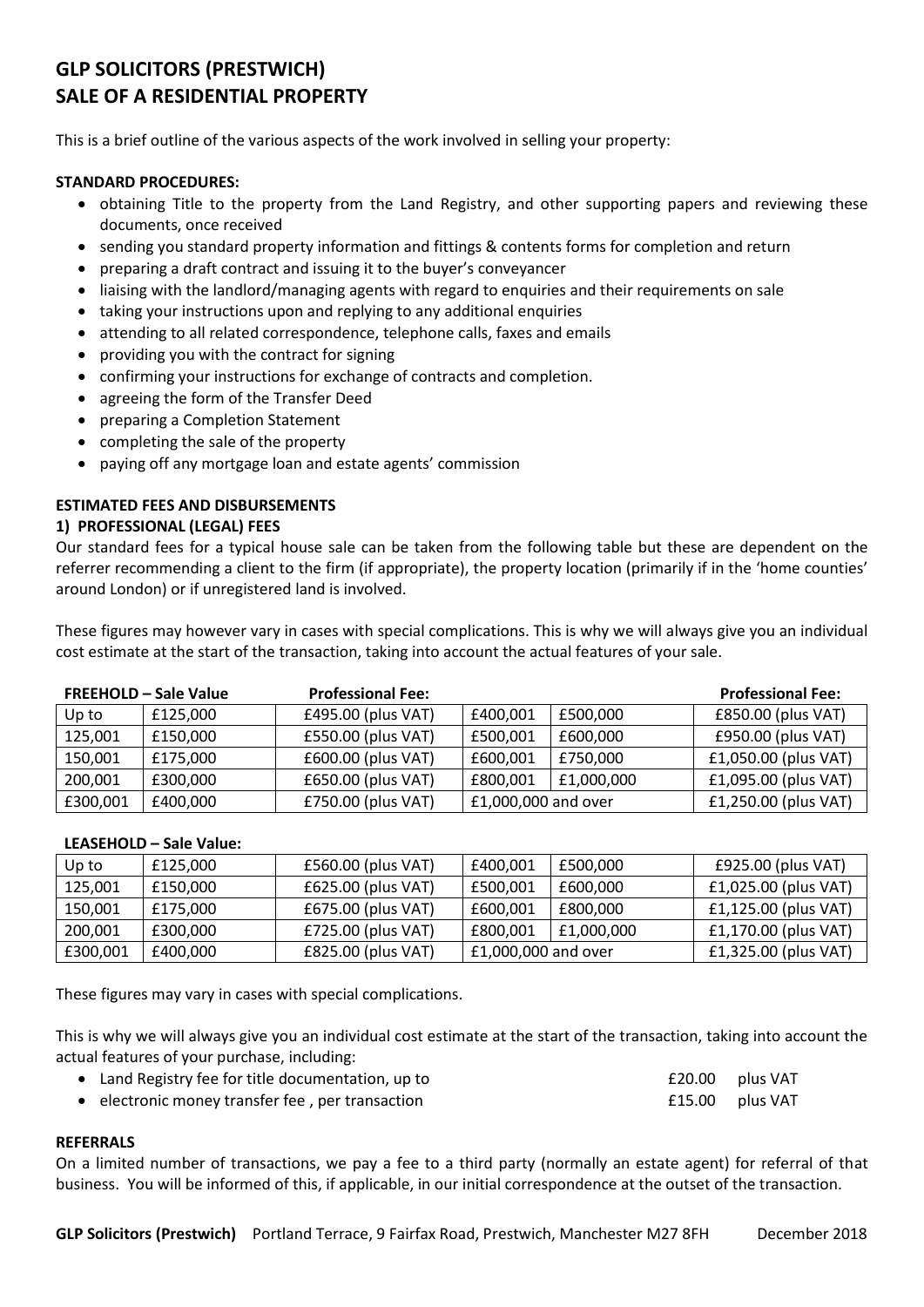# **GLP SOLICITORS (PRESTWICH) SALE OF A RESIDENTIAL PROPERTY**

This is a brief outline of the various aspects of the work involved in selling your property:

#### **STANDARD PROCEDURES:**

- obtaining Title to the property from the Land Registry, and other supporting papers and reviewing these documents, once received
- sending you standard property information and fittings & contents forms for completion and return
- preparing a draft contract and issuing it to the buyer's conveyancer
- liaising with the landlord/managing agents with regard to enquiries and their requirements on sale
- taking your instructions upon and replying to any additional enquiries
- attending to all related correspondence, telephone calls, faxes and emails
- providing you with the contract for signing
- confirming your instructions for exchange of contracts and completion.
- agreeing the form of the Transfer Deed
- preparing a Completion Statement
- completing the sale of the property
- paying off any mortgage loan and estate agents' commission

#### **ESTIMATED FEES AND DISBURSEMENTS**

#### **1) PROFESSIONAL (LEGAL) FEES**

Our standard fees for a typical house sale can be taken from the following table but these are dependent on the referrer recommending a client to the firm (if appropriate), the property location (primarily if in the 'home counties' around London) or if unregistered land is involved.

These figures may however vary in cases with special complications. This is why we will always give you an individual cost estimate at the start of the transaction, taking into account the actual features of your sale.

| <b>FREEHOLD - Sale Value</b> |          | <b>Professional Fee:</b> |                     |            | <b>Professional Fee:</b> |  |
|------------------------------|----------|--------------------------|---------------------|------------|--------------------------|--|
| Up to                        | £125.000 | £495.00 (plus VAT)       | £400,001            | £500,000   | £850.00 (plus VAT)       |  |
| 125,001                      | £150.000 | £550.00 (plus VAT)       | £500,001            | £600,000   | £950.00 (plus VAT)       |  |
| 150,001                      | £175.000 | £600.00 (plus VAT)       | £600,001            | £750,000   | £1,050.00 (plus VAT)     |  |
| 200,001                      | £300,000 | £650.00 (plus VAT)       | £800.001            | £1,000,000 | £1,095.00 (plus VAT)     |  |
| £300,001                     | £400,000 | £750.00 (plus VAT)       | £1,000,000 and over |            | £1,250.00 (plus VAT)     |  |

#### **LEASEHOLD – Sale Value:**

| Up to    | £125,000 | £560.00 (plus VAT) | £400.001            | £500.000   | £925.00 (plus VAT)   |
|----------|----------|--------------------|---------------------|------------|----------------------|
| 125,001  | £150,000 | £625.00 (plus VAT) | £500,001            | £600,000   | £1,025.00 (plus VAT) |
| 150,001  | £175,000 | £675.00 (plus VAT) | £600,001            | £800.000   | £1,125.00 (plus VAT) |
| 200,001  | £300,000 | £725.00 (plus VAT) | £800.001            | £1,000,000 | £1,170.00 (plus VAT) |
| £300,001 | £400.000 | £825.00 (plus VAT) | £1,000,000 and over |            | £1,325.00 (plus VAT) |

These figures may vary in cases with special complications.

This is why we will always give you an individual cost estimate at the start of the transaction, taking into account the actual features of your purchase, including:

 Land Registry fee for title documentation, up to £20.00 plus VAT electronic money transfer fee , per transaction £15.00 plus VAT

#### **REFERRALS**

On a limited number of transactions, we pay a fee to a third party (normally an estate agent) for referral of that business. You will be informed of this, if applicable, in our initial correspondence at the outset of the transaction.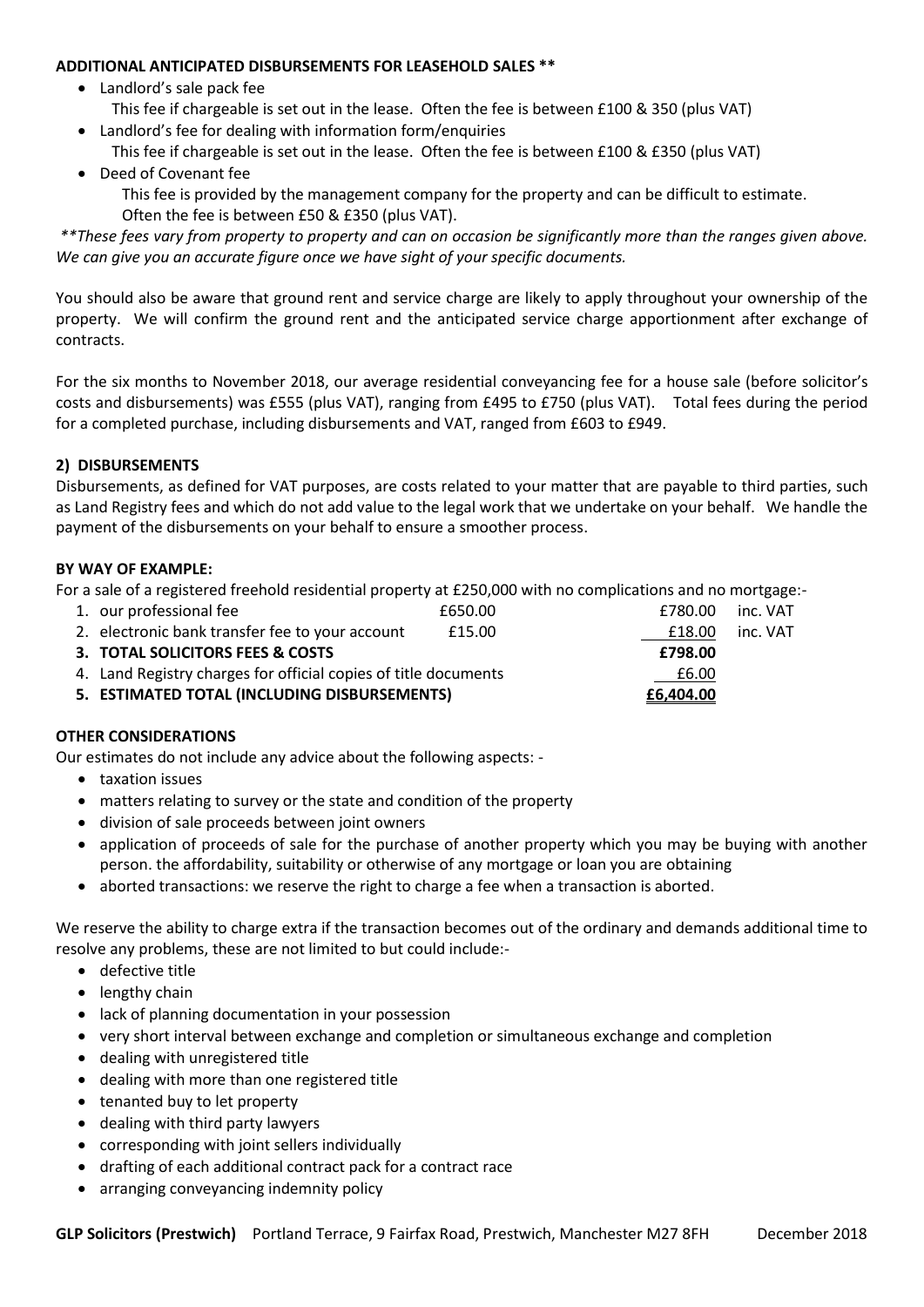#### **ADDITIONAL ANTICIPATED DISBURSEMENTS FOR LEASEHOLD SALES \*\***

- Landlord's sale pack fee
- This fee if chargeable is set out in the lease. Often the fee is between £100 & 350 (plus VAT)
- Landlord's fee for dealing with information form/enquiries This fee if chargeable is set out in the lease. Often the fee is between £100 & £350 (plus VAT)
- Deed of Covenant fee

This fee is provided by the management company for the property and can be difficult to estimate. Often the fee is between £50 & £350 (plus VAT).

*\*\*These fees vary from property to property and can on occasion be significantly more than the ranges given above. We can give you an accurate figure once we have sight of your specific documents.*

You should also be aware that ground rent and service charge are likely to apply throughout your ownership of the property. We will confirm the ground rent and the anticipated service charge apportionment after exchange of contracts.

For the six months to November 2018, our average residential conveyancing fee for a house sale (before solicitor's costs and disbursements) was £555 (plus VAT), ranging from £495 to £750 (plus VAT). Total fees during the period for a completed purchase, including disbursements and VAT, ranged from £603 to £949.

### **2) DISBURSEMENTS**

Disbursements, as defined for VAT purposes, are costs related to your matter that are payable to third parties, such as Land Registry fees and which do not add value to the legal work that we undertake on your behalf. We handle the payment of the disbursements on your behalf to ensure a smoother process.

#### **BY WAY OF EXAMPLE:**

For a sale of a registered freehold residential property at £250,000 with no complications and no mortgage:-

| 5. ESTIMATED TOTAL (INCLUDING DISBURSEMENTS)                             |         | £6,404.00 |          |
|--------------------------------------------------------------------------|---------|-----------|----------|
| 4. Land Registry charges for official copies of title documents<br>£6.00 |         |           |          |
| 3. TOTAL SOLICITORS FEES & COSTS                                         |         | £798.00   |          |
| 2. electronic bank transfer fee to your account                          | £15.00  | £18.00    | inc. VAT |
| 1. our professional fee                                                  | £650.00 | £780.00   | inc. VAT |

### **OTHER CONSIDERATIONS**

Our estimates do not include any advice about the following aspects: -

- taxation issues
- matters relating to survey or the state and condition of the property
- division of sale proceeds between joint owners
- application of proceeds of sale for the purchase of another property which you may be buying with another person. the affordability, suitability or otherwise of any mortgage or loan you are obtaining
- aborted transactions: we reserve the right to charge a fee when a transaction is aborted.

We reserve the ability to charge extra if the transaction becomes out of the ordinary and demands additional time to resolve any problems, these are not limited to but could include:-

- defective title
- lengthy chain
- lack of planning documentation in your possession
- very short interval between exchange and completion or simultaneous exchange and completion
- dealing with unregistered title
- dealing with more than one registered title
- tenanted buy to let property
- dealing with third party lawyers
- corresponding with joint sellers individually
- drafting of each additional contract pack for a contract race
- arranging conveyancing indemnity policy